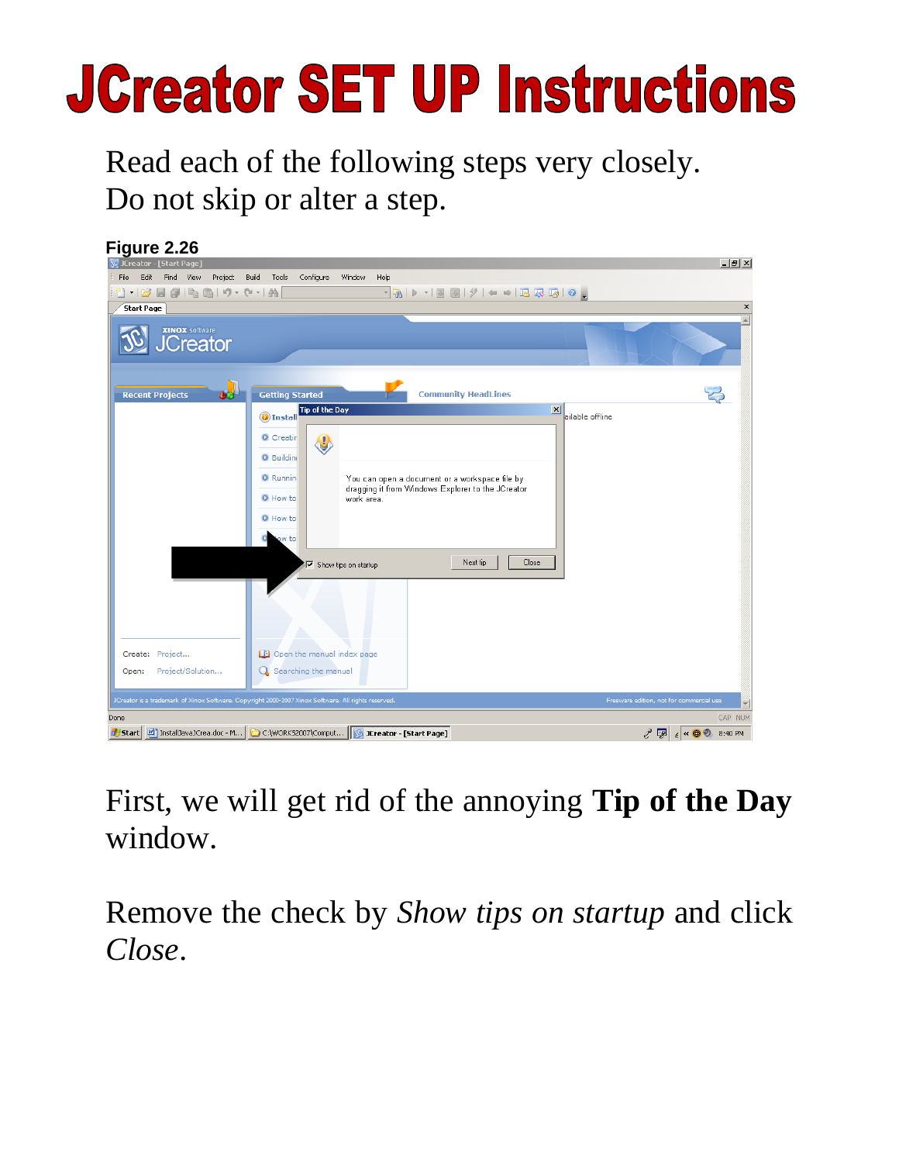# **JCreator SET UP Instructions**

Read each of the following steps very closely. Do not skip or alter a step.



First, we will get rid of the annoying **Tip of the Day** window.

Remove the check by *Show tips on startup* and click *Close*.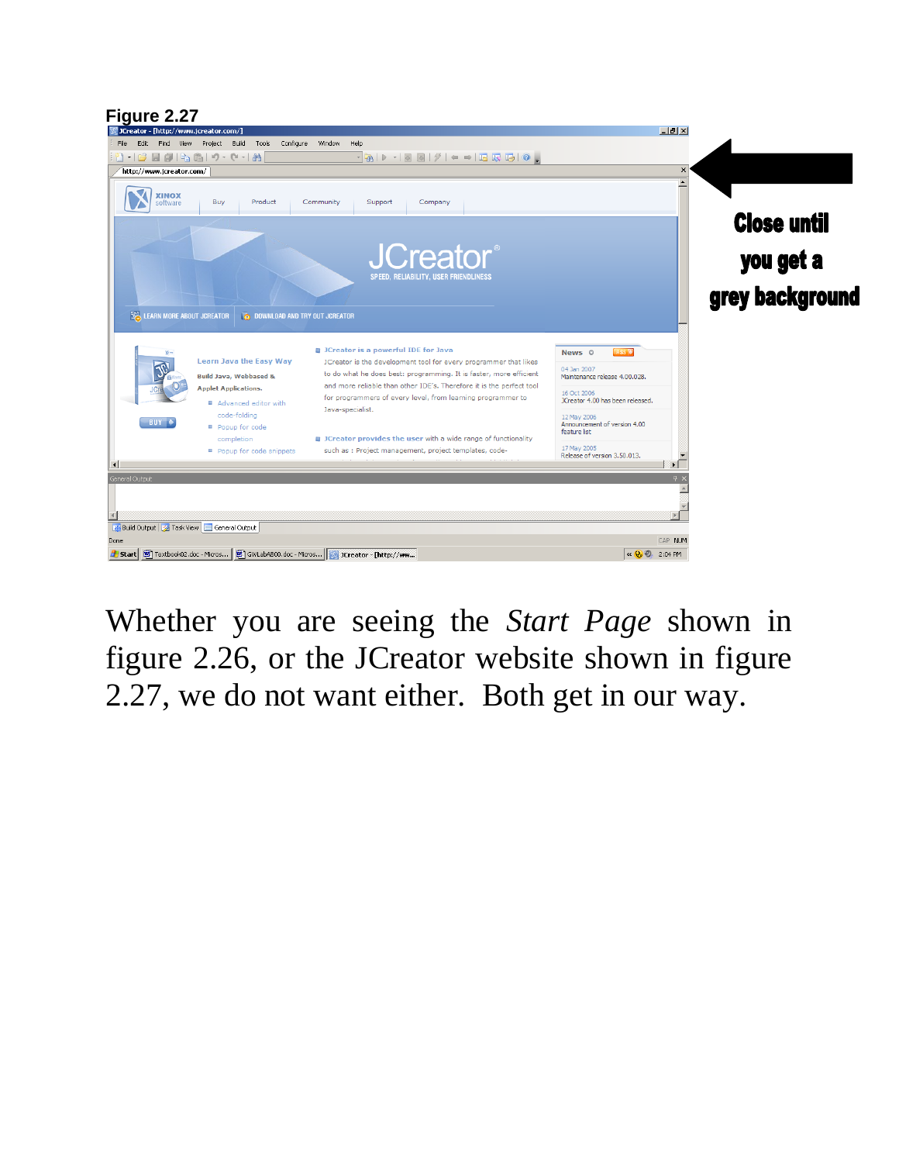## **Figure 2.27**<br> **Executor** - [http://www.jcreator.com/]



Whether you are seeing the *Start Page* shown in figure 2.26, or the JCreator website shown in figure 2.27, we do not want either. Both get in our way.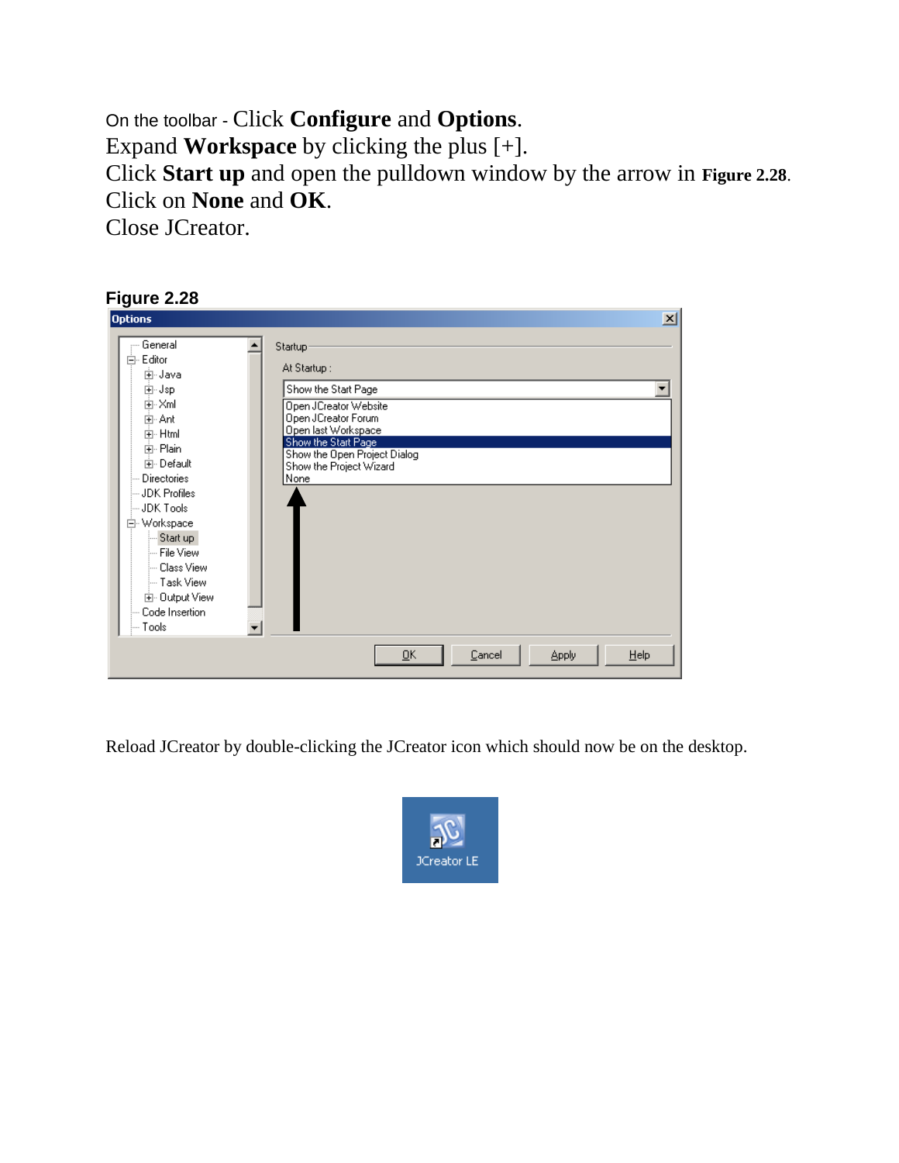On the toolbar - Click **Configure** and **Options**. Expand **Workspace** by clicking the plus [+]. Click **Start up** and open the pulldown window by the arrow in **Figure 2.28**. Click on **None** and **OK**. Close JCreator.

#### **Figure 2.28**

| <b>Options</b>                                                                                                                                                                                                                                                                | 즤                                                                                                                                                                                                                                                                            |
|-------------------------------------------------------------------------------------------------------------------------------------------------------------------------------------------------------------------------------------------------------------------------------|------------------------------------------------------------------------------------------------------------------------------------------------------------------------------------------------------------------------------------------------------------------------------|
| — General<br>白· Editor<br>中 Java<br>⊞⊹Jsp<br>⊡⊹Xml<br>⊞⊹Ant<br>中· Html<br>中· Plain<br>中 Default<br>— Directories<br>— JDK Profiles<br>lin JDK Tools<br>白 Workspace<br>- Start up<br>- File View<br>- Class View<br>- Task View<br>由 Output View<br>Code Insertion<br>∣— Tools | Startup:<br>At Startup:<br>Show the Start Page<br>Open JCreator Website<br>Open JCreator Forum<br>Open last Workspace<br>Show the Start Page<br>Show the Open Project Dialog<br>Show the Project Wizard<br>None<br>He<br>$\overline{\mathsf{g}}$ K<br>Cancel<br><b>Apply</b> |
|                                                                                                                                                                                                                                                                               |                                                                                                                                                                                                                                                                              |

Reload JCreator by double-clicking the JCreator icon which should now be on the desktop.

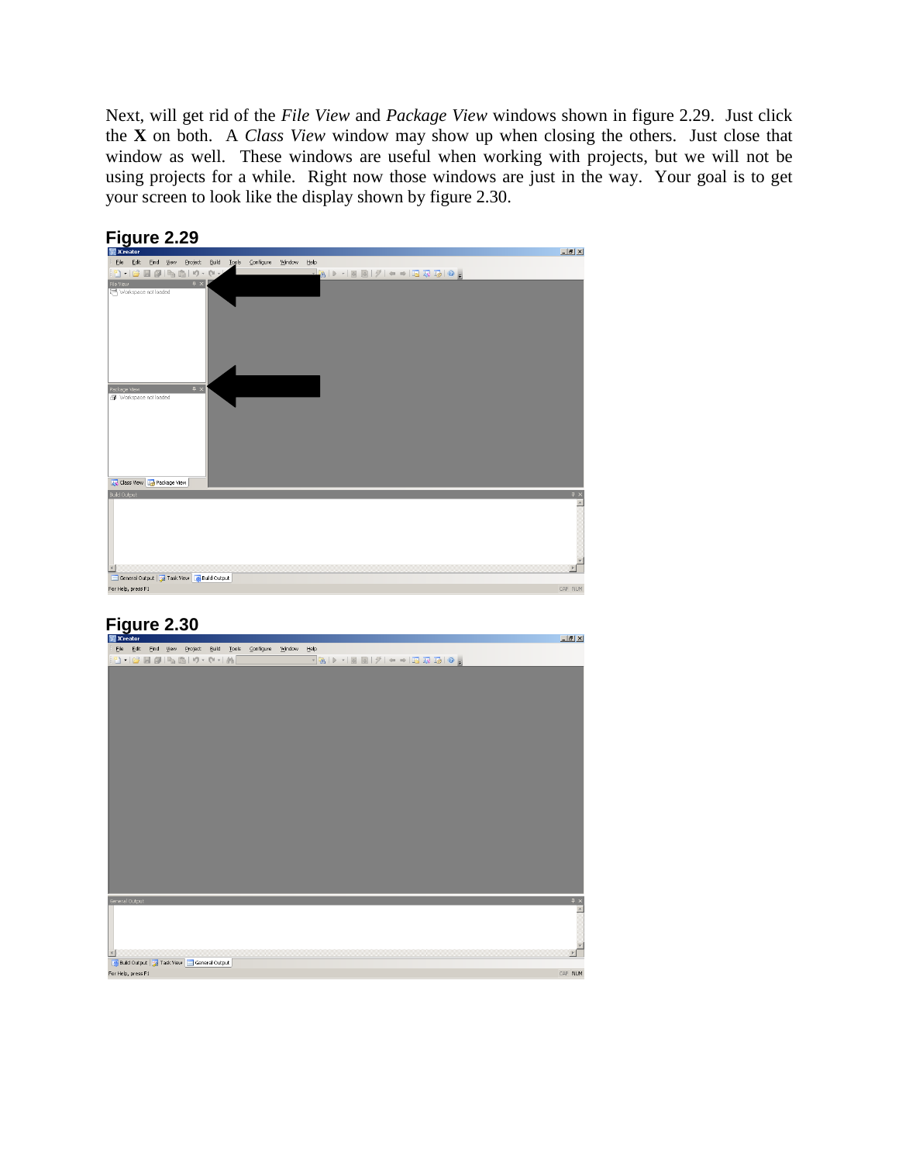Next, will get rid of the *File View* and *Package View* windows shown in figure 2.29. Just click the **X** on both. A *Class View* window may show up when closing the others. Just close that window as well. These windows are useful when working with projects, but we will not be using projects for a while. Right now those windows are just in the way. Your goal is to get your screen to look like the display shown by figure 2.30.



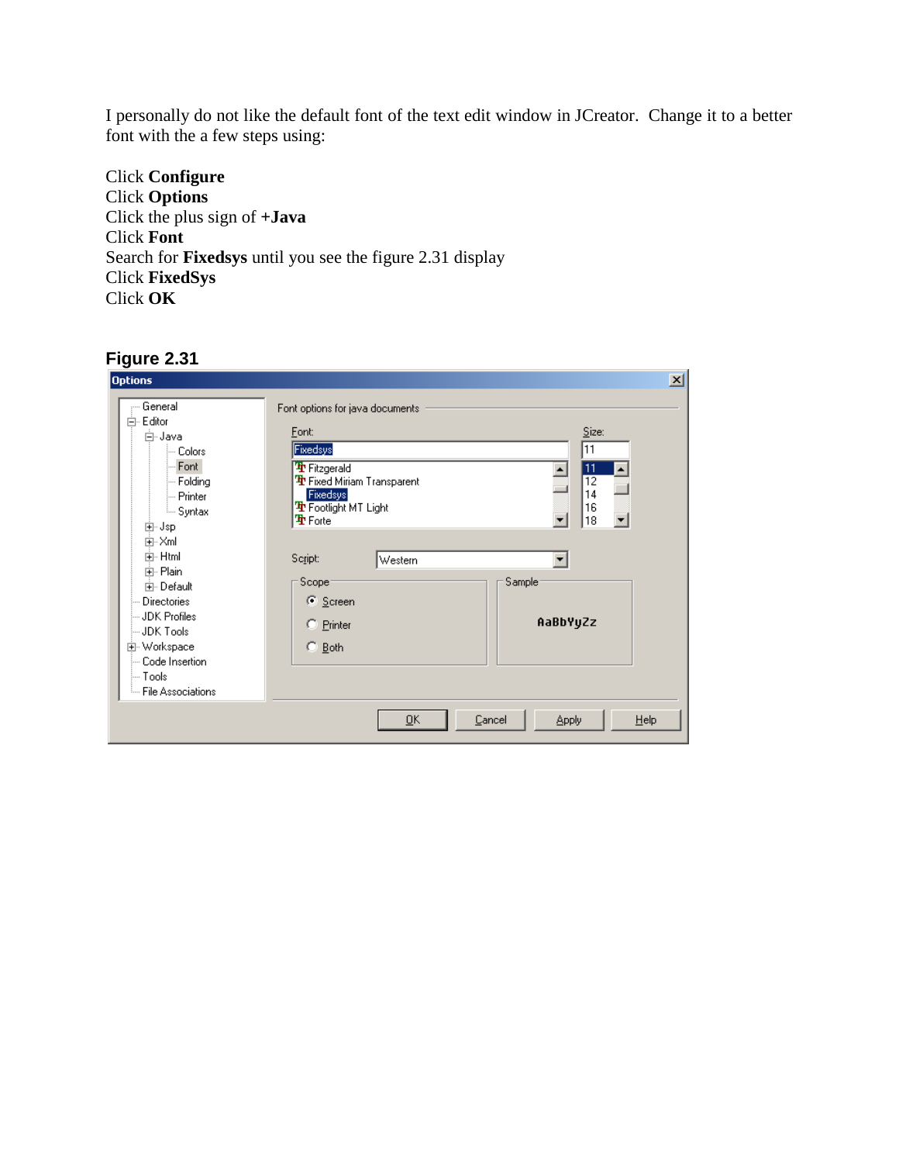I personally do not like the default font of the text edit window in JCreator. Change it to a better font with the a few steps using:

Click **Configure** Click **Options** Click the plus sign of **+Java** Click **Font** Search for **Fixedsys** until you see the figure 2.31 display Click **FixedSys** Click **OK**

| <b>Options</b>       |                                                              | $\mathbf{x}$ |
|----------------------|--------------------------------------------------------------|--------------|
| — General            | Font options for java documents                              |              |
| 白· Editor<br>白~ Java | Size:<br>Eont:                                               |              |
| l— Colors            | $\overline{11}$<br>Fixedsys                                  |              |
| Font                 |                                                              |              |
| ⊱ Foldina            | Fitzgerald<br>11<br><b>Th</b> Fixed Miriam Transparent<br>12 |              |
| l— Printer           | 14<br>Fixedsys                                               |              |
| illin Syntax         | <b>Tr</b> Footlight MT Light<br>16                           |              |
| ⊞⊹Jsp                | 18<br>雪 Forte                                                |              |
| ⊡⊹Xml                |                                                              |              |
| 由·Html               |                                                              |              |
| 中· Plain             | Script:<br>Western                                           |              |
| 由· Default           | Scope:<br>Sample <sup>®</sup>                                |              |
| Directories          | C Screen                                                     |              |
| ⊟JDK Profiles ⊹      |                                                              |              |
| ⊟JDK Tools           | AaBbYyZz<br>C Printer                                        |              |
| 由 Workspace          | $\degree$ Both                                               |              |
| Code Insertion<br>   |                                                              |              |
| ⊱ Tools              |                                                              |              |
| - File Associations  |                                                              |              |
|                      |                                                              |              |
|                      | $\overline{\mathsf{g}}$ K<br>Cancel<br>Help<br><b>Apply</b>  |              |
|                      |                                                              |              |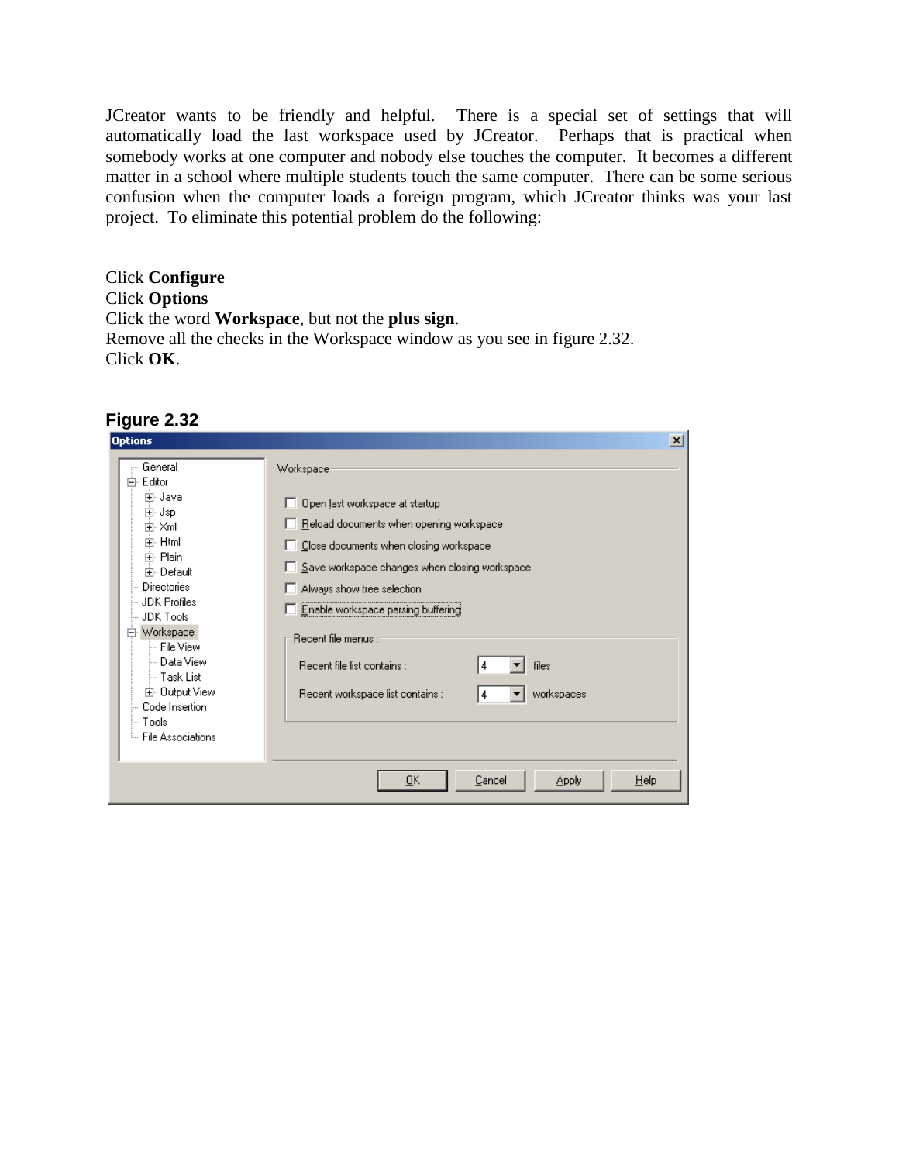JCreator wants to be friendly and helpful. There is a special set of settings that will automatically load the last workspace used by JCreator. Perhaps that is practical when somebody works at one computer and nobody else touches the computer. It becomes a different matter in a school where multiple students touch the same computer. There can be some serious confusion when the computer loads a foreign program, which JCreator thinks was your last project. To eliminate this potential problem do the following:

Click **Configure** Click **Options** Click the word **Workspace**, but not the **plus sign**. Remove all the checks in the Workspace window as you see in figure 2.32. Click **OK**.

| . 9 a. e. e. e.<br><b>Options</b>                                                                                                                                                                                                                                            | $\vert x \vert$                                                                                                                                                                                                                                                                                                                                                                                     |
|------------------------------------------------------------------------------------------------------------------------------------------------------------------------------------------------------------------------------------------------------------------------------|-----------------------------------------------------------------------------------------------------------------------------------------------------------------------------------------------------------------------------------------------------------------------------------------------------------------------------------------------------------------------------------------------------|
| General<br>向- Editor<br>⊞-Java<br>⊞⊡Jsp<br>⊞⊹Xml<br>मि∽ Html<br>中· Plain<br>中 Default<br>- Directories<br>- JDK Profiles<br>JDK Tools<br>白 Workspace<br>-- File View<br>≔ Data View<br>i-- Task List<br>由 Output View<br>Code Insertion<br>l— Tools<br>└└· File Associations | Workspace <sup>®</sup><br>Open last workspace at startup<br>п<br>Reload documents when opening workspace<br>Close documents when closing workspace<br>Save workspace changes when closing workspace<br>I.<br>Always show tree selection<br>Enable workspace parsing buffering<br>Recent file menus :<br>files<br>Recent file list contains :<br>workspaces<br>Recent workspace list contains :<br>4 |
|                                                                                                                                                                                                                                                                              | Help<br>ŌΚ<br>Cancel<br><b>Apply</b>                                                                                                                                                                                                                                                                                                                                                                |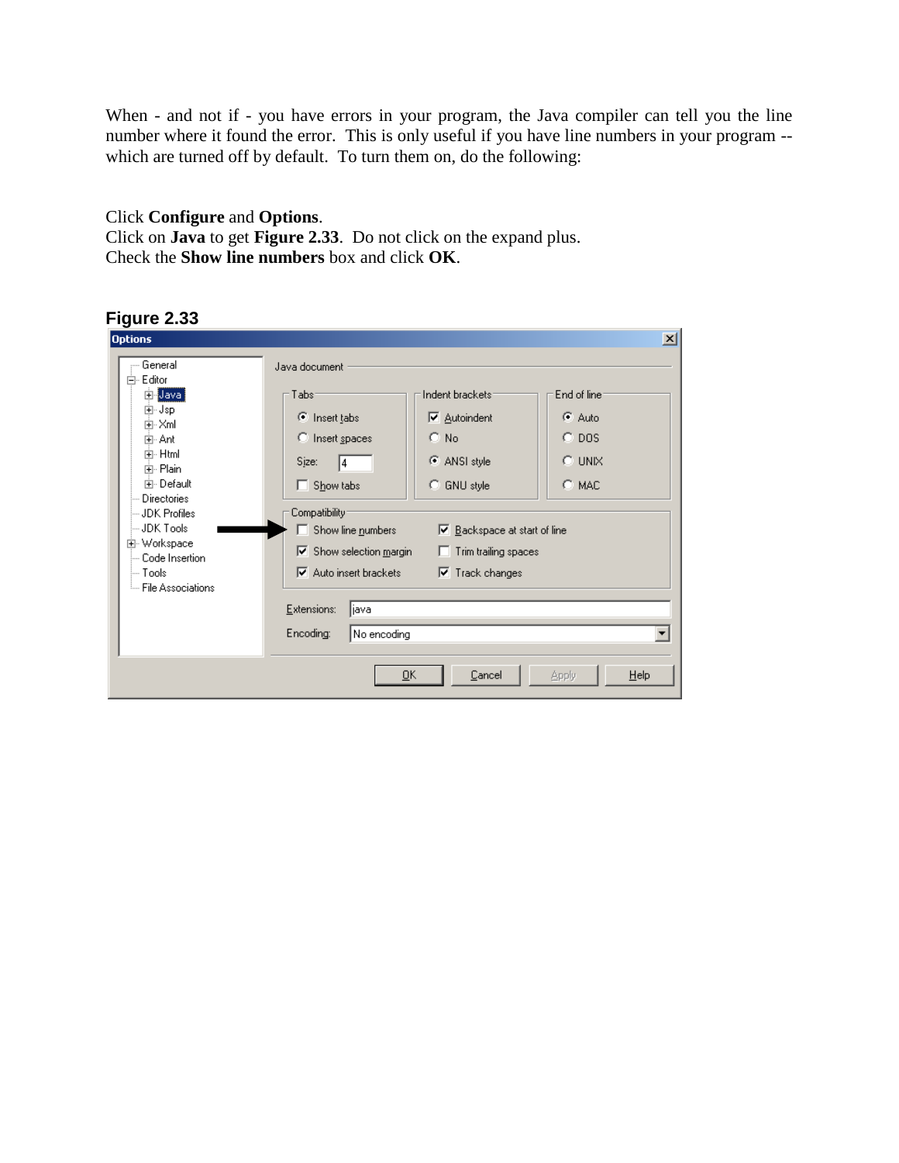When - and not if - you have errors in your program, the Java compiler can tell you the line number where it found the error. This is only useful if you have line numbers in your program - which are turned off by default. To turn them on, do the following:

#### Click **Configure** and **Options**. Click on **Java** to get **Figure 2.33**. Do not click on the expand plus. Check the **Show line numbers** box and click **OK**.



| <b>Options</b>                                                                                                                                                                                                                             |                                                                                                                                                                                                                                                                                                                                                                                                                                                                                                                                                                        | x |
|--------------------------------------------------------------------------------------------------------------------------------------------------------------------------------------------------------------------------------------------|------------------------------------------------------------------------------------------------------------------------------------------------------------------------------------------------------------------------------------------------------------------------------------------------------------------------------------------------------------------------------------------------------------------------------------------------------------------------------------------------------------------------------------------------------------------------|---|
| — General<br>白· Editor<br><b>En Java</b><br>⊞⊡Jsp<br>中·Xml<br>亩- Ant<br>中·Html<br>中· Plain<br>中 Default<br>Directories<br>— JDK Profiles.<br>-JDK Tools<br>由 Workspace<br>— Code Insertion<br>i— Tools I<br><sup>i</sup> File Associations | Java document<br>Indent brackets:<br>Tabs <sup>-</sup><br>End of line:<br>C Auto<br>C Insert tabs<br>$\nabla$ Autoindent<br>$C$ No.<br>$C$ DOS<br>C Insert spaces<br>$\odot$ UNIX<br>C ANSI style<br>Sjze:<br>14<br>C MAC<br>Show tabs<br>C GNU style<br>п<br>Compatibility <sup>®</sup><br>Show line numbers<br>$\nabla$ Backspace at start of line<br>$\triangleright$ Show selection margin<br>Trim trailing spaces<br>$\overline{\triangledown}$ Auto insert brackets<br>$\overline{\mathbf{v}}$ Track changes<br>Extensions:<br> java<br>Encoding:<br>No encoding |   |
|                                                                                                                                                                                                                                            | <u>о</u> к<br>Cancel<br>$He$ lp<br>Apply                                                                                                                                                                                                                                                                                                                                                                                                                                                                                                                               |   |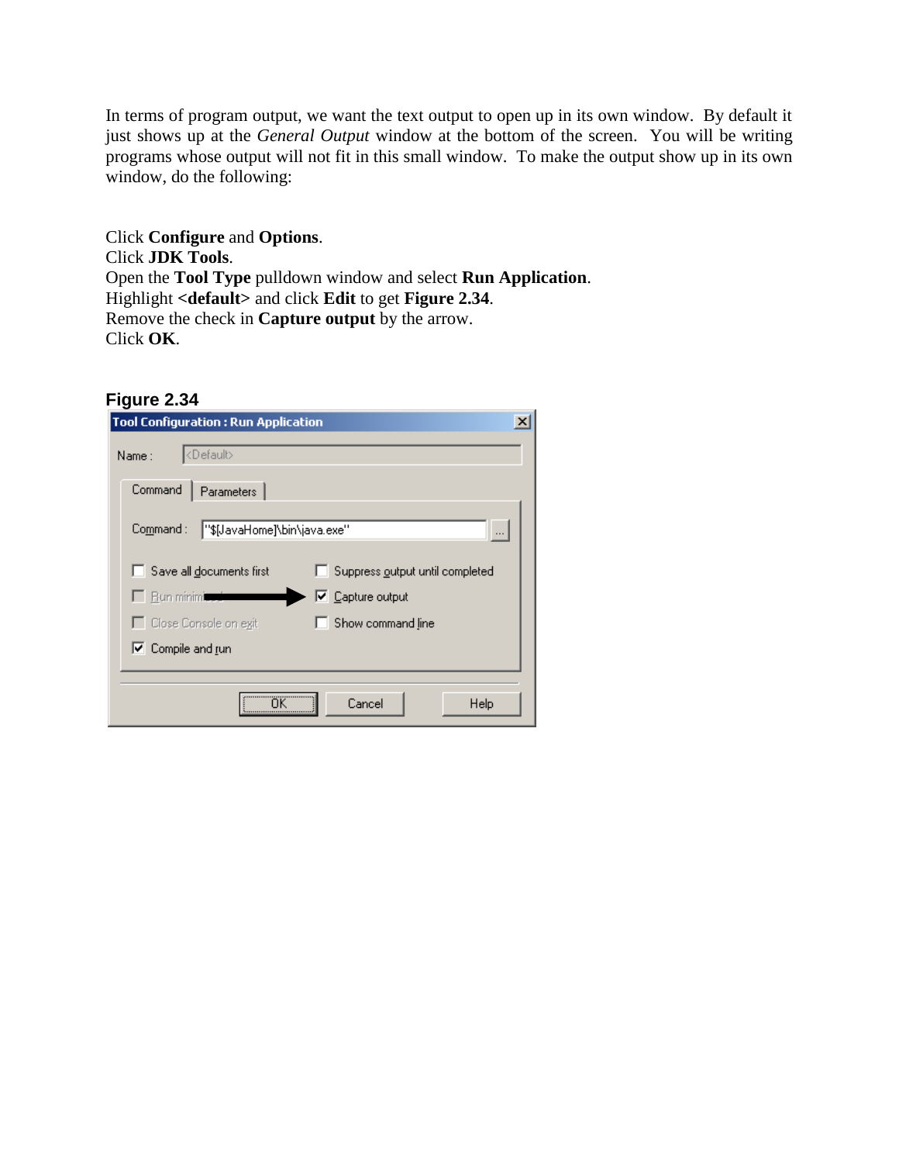In terms of program output, we want the text output to open up in its own window. By default it just shows up at the *General Output* window at the bottom of the screen. You will be writing programs whose output will not fit in this small window. To make the output show up in its own window, do the following:

Click **Configure** and **Options**. Click **JDK Tools**. Open the **Tool Type** pulldown window and select **Run Application**. Highlight **<default>** and click **Edit** to get **Figure 2.34**. Remove the check in **Capture output** by the arrow. Click **OK**.

| <b>Tool Configuration : Run Application</b> | x                               |
|---------------------------------------------|---------------------------------|
| <default><br/>Name :</default>              |                                 |
| Command<br>Parameters                       |                                 |
| Common and:<br>"\$[JavaHome]\bin\java.exe"  |                                 |
| Save all documents first                    | Suppress output until completed |
| <b>Bun minimized</b>                        | $\nabla$ Capture output         |
| □ Close Console on exit                     | Show command line               |
| $\nabla$ Compile and run                    |                                 |
|                                             | Cancel<br>Help                  |